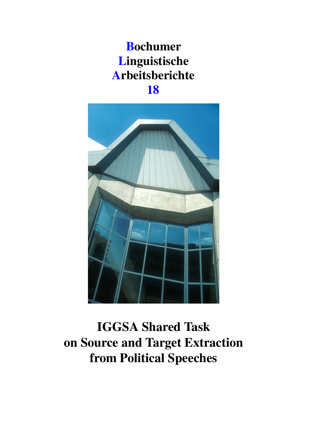## Bochumer Linguistische Arbeitsberichte 18



IGGSA Shared Task on Source and Target Extraction from Political Speeches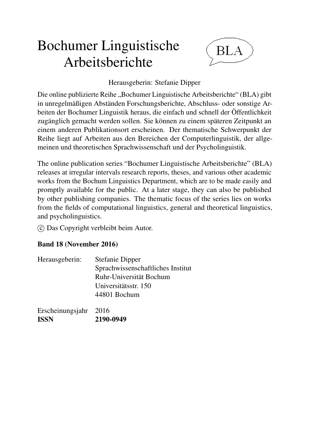# Bochumer Linguistische Arbeitsberichte



### Herausgeberin: Stefanie Dipper

Die online publizierte Reihe "Bochumer Linguistische Arbeitsberichte" (BLA) gibt in unregelmäßigen Abständen Forschungsberichte, Abschluss- oder sonstige Arbeiten der Bochumer Linguistik heraus, die einfach und schnell der Öffentlichkeit zugänglich gemacht werden sollen. Sie können zu einem späteren Zeitpunkt an einem anderen Publikationsort erscheinen. Der thematische Schwerpunkt der Reihe liegt auf Arbeiten aus den Bereichen der Computerlinguistik, der allgemeinen und theoretischen Sprachwissenschaft und der Psycholinguistik.

The online publication series "Bochumer Linguistische Arbeitsberichte" (BLA) releases at irregular intervals research reports, theses, and various other academic works from the Bochum Linguistics Department, which are to be made easily and promptly available for the public. At a later stage, they can also be published by other publishing companies. The thematic focus of the series lies on works from the fields of computational linguistics, general and theoretical linguistics, and psycholinguistics.

c Das Copyright verbleibt beim Autor.

### Band 18 (November 2016)

| Herausgeberin: | <b>Stefanie Dipper</b>            |
|----------------|-----------------------------------|
|                | Sprachwissenschaftliches Institut |
|                | Ruhr-Universität Bochum           |
|                | Universitätsstr. 150              |
|                | 44801 Bochum                      |
|                |                                   |

| Erscheinungsjahr 2016 |           |
|-----------------------|-----------|
| <b>ISSN</b>           | 2190-0949 |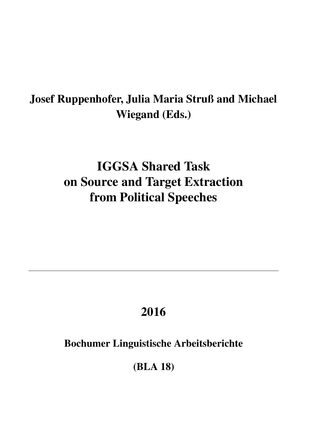## Josef Ruppenhofer, Julia Maria Struß and Michael Wiegand (Eds.)

# IGGSA Shared Task on Source and Target Extraction from Political Speeches

## 2016

### Bochumer Linguistische Arbeitsberichte

(BLA 18)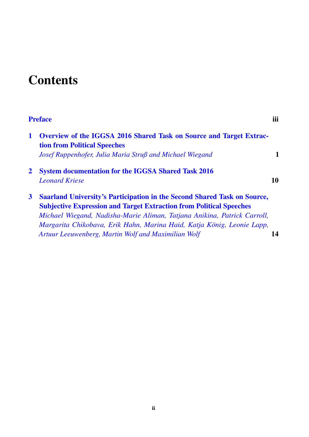## **Contents**

|              | <b>Preface</b>                                                                                                                                                                                                                                                                                                                                                             | iii |
|--------------|----------------------------------------------------------------------------------------------------------------------------------------------------------------------------------------------------------------------------------------------------------------------------------------------------------------------------------------------------------------------------|-----|
| 1            | <b>Overview of the IGGSA 2016 Shared Task on Source and Target Extrac-</b><br><b>tion from Political Speeches</b><br>Josef Ruppenhofer, Julia Maria Struß and Michael Wiegand                                                                                                                                                                                              | 1   |
| $\mathbf{2}$ | <b>System documentation for the IGGSA Shared Task 2016</b><br><b>Leonard Kriese</b>                                                                                                                                                                                                                                                                                        | 10  |
| $\mathbf{3}$ | <b>Saarland University's Participation in the Second Shared Task on Source,</b><br><b>Subjective Expression and Target Extraction from Political Speeches</b><br>Michael Wiegand, Nadisha-Marie Aliman, Tatjana Anikina, Patrick Carroll,<br>Margarita Chikobava, Erik Hahn, Marina Haid, Katja König, Leonie Lapp,<br>Artuur Leeuwenberg, Martin Wolf and Maximilian Wolf | 14  |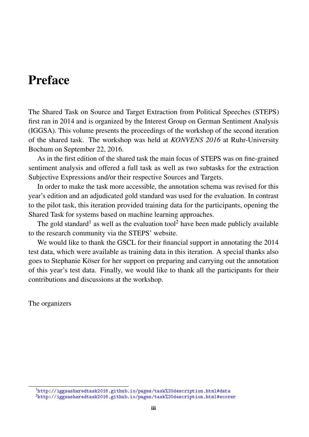### <span id="page-4-0"></span>Preface

The Shared Task on Source and Target Extraction from Political Speeches (STEPS) first ran in 2014 and is organized by the Interest Group on German Sentiment Analysis (IGGSA). This volume presents the proceedings of the workshop of the second iteration of the shared task. The workshop was held at *KONVENS 2016* at Ruhr-University Bochum on September 22, 2016.

As in the first edition of the shared task the main focus of STEPS was on fine-grained sentiment analysis and offered a full task as well as two subtasks for the extraction Subjective Expressions and/or their respective Sources and Targets.

In order to make the task more accessible, the annotation schema was revised for this year's edition and an adjudicated gold standard was used for the evaluation. In contrast to the pilot task, this iteration provided training data for the participants, opening the Shared Task for systems based on machine learning approaches.

The gold standard<sup>[1](#page-4-1)</sup> as well as the evaluation tool<sup>[2](#page-4-2)</sup> have been made publicly available to the research community via the STEPS' website.

We would like to thank the GSCL for their financial support in annotating the 2014 test data, which were available as training data in this iteration. A special thanks also goes to Stephanie Köser for her support on preparing and carrying out the annotation of this year's test data. Finally, we would like to thank all the participants for their contributions and discussions at the workshop.

The organizers

<span id="page-4-1"></span><sup>1</sup>[http://iggsasharedtask2016.github.io/pages/task%20description.html#data](http://iggsasharedtask2016.github.io/pages/task%20description.html##data)

<span id="page-4-2"></span><sup>2</sup>[http://iggsasharedtask2016.github.io/pages/task%20description.html#scorer](http://iggsasharedtask2016.github.io/pages/task%20description.html##scorer)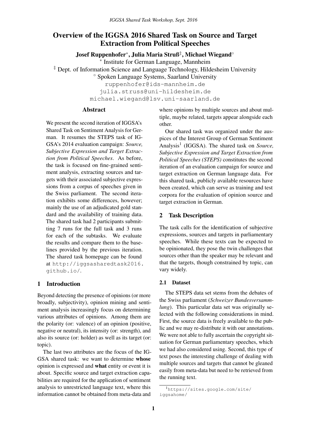### <span id="page-5-0"></span>Overview of the IGGSA 2016 Shared Task on Source and Target Extraction from Political Speeches

Josef Ruppenhofer\*, Julia Maria Stru߇, Michael Wiegand $^{\circ}$ 

∗ Institute for German Language, Mannheim

‡ Dept. of Information Science and Language Technology, Hildesheim University

◦ Spoken Language Systems, Saarland University

ruppenhofer@ids-mannheim.de

julia.struss@uni-hildesheim.de

michael.wiegand@lsv.uni-saarland.de

#### Abstract

We present the second iteration of IGGSA's Shared Task on Sentiment Analysis for German. It resumes the STEPS task of IG-GSA's 2014 evaluation campaign: *Source, Subjective Expression and Target Extraction from Political Speeches*. As before, the task is focused on fine-grained sentiment analysis, extracting sources and targets with their associated subjective expressions from a corpus of speeches given in the Swiss parliament. The second iteration exhibits some differences, however; mainly the use of an adjudicated gold standard and the availability of training data. The shared task had 2 participants submitting 7 runs for the full task and 3 runs for each of the subtasks. We evaluate the results and compare them to the baselines provided by the previous iteration. The shared task homepage can be found at http://iggsasharedtask2016. github.io/.

#### 1 Introduction

Beyond detecting the presence of opinions (or more broadly, subjectivity), opinion mining and sentiment analysis increasingly focus on determining various attributes of opinions. Among them are the polarity (or: valence) of an opinion (positive, negative or neutral), its intensity (or: strength), and also its source (or: holder) as well as its target (or: topic).

The last two attributes are the focus of the IG-GSA shared task: we want to determine whose opinion is expressed and what entity or event it is about. Specific source and target extraction capabilities are required for the application of sentiment analysis to unrestricted language text, where this information cannot be obtained from meta-data and

where opinions by multiple sources and about multiple, maybe related, targets appear alongside each other.

Our shared task was organized under the auspices of the Interest Group of German Sentiment Analysis<sup>1</sup> (IGGSA). The shared task on *Source*, *Subjective Expression and Target Extraction from Political Speeches (STEPS)* constitutes the second iteration of an evaluation campaign for source and target extraction on German language data. For this shared task, publicly available resources have been created, which can serve as training and test corpora for the evaluation of opinion source and target extraction in German.

#### 2 Task Description

The task calls for the identification of subjective expressions, sources and targets in parliamentary speeches. While these texts can be expected to be opinionated, they pose the twin challenges that sources other than the speaker may be relevant and that the targets, though constrained by topic, can vary widely.

#### 2.1 Dataset

The STEPS data set stems from the debates of the Swiss parliament (*Schweizer Bundesversammlung*). This particular data set was originally selected with the following considerations in mind. First, the source data is freely available to the public and we may re-distribute it with our annotations. We were not able to fully ascertain the copyright situation for German parliamentary speeches, which we had also considered using. Second, this type of text poses the interesting challenge of dealing with multiple sources and targets that cannot be gleaned easily from meta-data but need to be retrieved from the running text.

<sup>1</sup>https://sites.google.com/site/ iggsahome/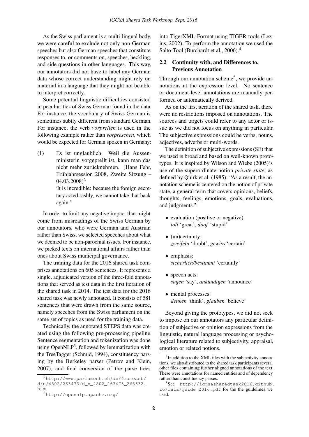As the Swiss parliament is a multi-lingual body, we were careful to exclude not only non-German speeches but also German speeches that constitute responses to, or comments on, speeches, heckling, and side questions in other languages. This way, our annotators did not have to label any German data whose correct understanding might rely on material in a language that they might not be able to interpret correctly.

Some potential linguistic difficulties consisted in peculiarities of Swiss German found in the data. For instance, the vocabulary of Swiss German is sometimes subtly different from standard German. For instance, the verb *vorprellen* is used in the following example rather than *vorpreschen*, which would be expected for German spoken in Germany:

(1) Es ist unglaublich: Weil die Aussenministerin vorgeprellt ist, kann man das nicht mehr zurücknehmen. (Hans Fehr, Frühjahrsession 2008, Zweite Sitzung –  $(04.03.2008)^2$ 

> 'It is incredible: because the foreign secretary acted rashly, we cannot take that back again.'

In order to limit any negative impact that might come from misreadings of the Swiss German by our annotators, who were German and Austrian rather than Swiss, we selected speeches about what we deemed to be non-parochial issues. For instance, we picked texts on international affairs rather than ones about Swiss municipal governance.

The training data for the 2016 shared task comprises annotations on 605 sentences. It represents a single, adjudicated version of the three-fold annotations that served as test data in the first iteration of the shared task in 2014. The test data for the 2016 shared task was newly annotated. It consists of 581 sentences that were drawn from the same source, namely speeches from the Swiss parliament on the same set of topics as used for the training data.

Technically, the annotated STEPS data was created using the following pre-processing pipeline. Sentence segmentation and tokenization was done using OpenNLP<sup>3</sup>, followed by lemmatization with the TreeTagger (Schmid, 1994), constituency parsing by the Berkeley parser (Petrov and Klein, 2007), and final conversion of the parse trees

into TigerXML-Format using TIGER-tools (Lezius, 2002). To perform the annotation we used the Salto-Tool (Burchardt et al., 2006).<sup>4</sup>

#### 2.2 Continuity with, and Differences to, Previous Annotation

Through our annotation scheme<sup>5</sup>, we provide annotations at the expression level. No sentence or document-level annotations are manually performed or automatically derived.

As on the first iteration of the shared task, there were no restrictions imposed on annotations. The sources and targets could refer to any actor or issue as we did not focus on anything in particular. The subjective expressions could be verbs, nouns, adjectives, adverbs or multi-words.

The definition of subjective expressions (SE) that we used is broad and based on well-known prototypes. It is inspired by Wilson and Wiebe (2005)'s use of the superordinate notion *private state*, as defined by Quirk et al. (1985): "As a result, the annotation scheme is centered on the notion of private state, a general term that covers opinions, beliefs, thoughts, feelings, emotions, goals, evaluations, and judgments.":

- evaluation (positive or negative): *toll* 'great', *doof* 'stupid'
- (un)certainty: *zweifeln* 'doubt', *gewiss* 'certain'
- emphasis: *sicherlich/bestimmt* 'certainly'
- speech acts: *sagen* 'say', *ankundigen ¨* 'announce'
- mental processes: *denken* 'think', *glauben* 'believe'

Beyond giving the prototypes, we did not seek to impose on our annotators any particular definition of subjective or opinion expressions from the linguistic, natural language processing or psychological literature related to subjectivity, appraisal, emotion or related notions.

<sup>2</sup>http://www.parlament.ch/ab/frameset/ d/n/4802/263473/d\_n\_4802\_263473\_263632. htm

<sup>3</sup>http://opennlp.apache.org/

<sup>&</sup>lt;sup>4</sup>In addition to the XML files with the subjectivity annotations, we also distributed to the shared task participants several other files containing further aligned annotations of the text. These were annotations for named entities and of dependency rather than constituency parses.

<sup>5</sup>See http://iggsasharedtask2016.github. io/data/guide\_2016.pdf for the the guidelines we used.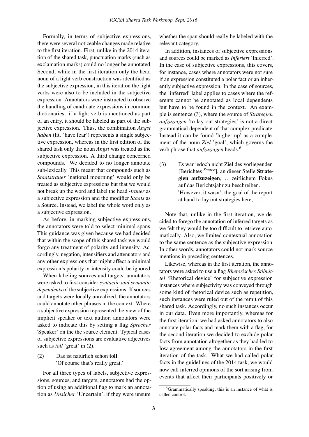Formally, in terms of subjective expressions, there were several noticeable changes made relative to the first iteration. First, unlike in the 2014 iteration of the shared task, punctuation marks (such as exclamation marks) could no longer be annotated. Second, while in the first iteration only the head noun of a light verb construction was identified as the subjective expression, in this iteration the light verbs were also to be included in the subjective expression. Annotators were instructed to observe the handling of candidate expressions in common dictionaries: if a light verb is mentioned as part of an entry, it should be labeled as part of the subjective expression. Thus, the combination *Angst haben* (lit. 'have fear') represents a single subjective expression, whereas in the first edition of the shared task only the noun *Angst* was treated as the subjective expression. A third change concerned compounds. We decided to no longer annotate sub-lexically. This meant that compounds such as *Staatstrauer* 'national mourning' would only be treated as subjective expressions but that we would not break up the word and label the head *-trauer* as a subjective expression and the modifier *Staats* as a Source. Instead, we label the whole word only as a subjective expression.

As before, in marking subjective expressions, the annotators were told to select minimal spans. This guidance was given because we had decided that within the scope of this shared task we would forgo any treatment of polarity and intensity. Accordingly, negation, intensifiers and attenuators and any other expressions that might affect a minimal expression's polarity or intensity could be ignored.

When labeling sources and targets, annotators were asked to first consider *syntactic and semantic dependents* of the subjective expressions. If sources and targets were locally unrealized, the annotators could annotate other phrases in the context. Where a subjective expression represented the view of the implicit speaker or text author, annotators were asked to indicate this by setting a flag *Sprecher* 'Speaker' on the the source element. Typical cases of subjective expressions are evaluative adjectives such as *toll* 'great' in (2).

 $(2)$  Das ist naturlich schon toll. 'Of course that's really great.'

For all three types of labels, subjective expressions, sources, and targets, annotators had the option of using an additional flag to mark an annotation as *Unsicher* 'Uncertain', if they were unsure

whether the span should really be labeled with the relevant category.

In addition, instances of subjective expressions and sources could be marked as *Inferiert* 'Inferred'. In the case of subjective expressions, this covers, for instance, cases where annotators were not sure if an expression constituted a polar fact or an inherently subjective expression. In the case of sources, the 'inferred' label applies to cases where the referents cannot be annotated as local dependents but have to be found in the context. An example is sentence (3), where the source of *Strategien aufzuzeigen* 'to lay out strategies' is not a direct grammatical dependent of that complex predicate. Instead it can be found 'higher up' as a complement of the noun *Ziel* 'goal', which governs the verb phrase that *aufzuzeigen* heads.<sup>6</sup>

(3) Es war jedoch nicht Ziel des vorliegenden [Berichtes *Source*], an dieser Stelle Strategien aufzuzeigen, . . . zeitlichem Fokus auf das Berichtsjahr zu beschreiben. 'However, it wasn't the goal of the report at hand to lay out strategies here, . . . '

Note that, unlike in the first iteration, we decided to forego the annotation of inferred targets as we felt they would be too difficult to retrieve automatically. Also, we limited contextual annotation to the same sentence as the subjective expression. In other words, annotators could not mark source mentions in preceding sentences.

Likewise, whereas in the first iteration, the annotators were asked to use a flag *Rhetorisches Stilmittel* 'Rhetorical device' for subjective expression instances where subjectivity was conveyed through some kind of rhetorical device such as repetition, such instances were ruled out of the remit of this shared task. Accordingly, no such instances occur in our data. Even more importantly, whereas for the first iteration, we had asked annotators to also annotate polar facts and mark them with a flag, for the second iteration we decided to exclude polar facts from annotation altogether as they had led to low agreement among the annotators in the first iteration of the task. What we had called polar facts in the guidelines of the 2014 task, we would now call inferred opinions of the sort arising from events that affect their participants positively or

 $6$ Grammatically speaking, this is an instance of what is called control.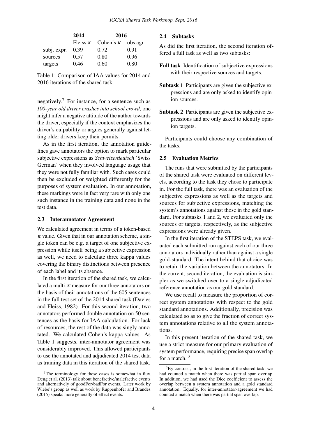|             | 2014 | 2016                                      |      |
|-------------|------|-------------------------------------------|------|
|             |      | Fleiss $\kappa$ Cohen's $\kappa$ obs.agr. |      |
| subj. expr. | 0.39 | 0.72                                      | 0.91 |
| sources     | 0.57 | 0.80                                      | 0.96 |
| targets     | 0.46 | 0.60                                      | 0.80 |

Table 1: Comparison of IAA values for 2014 and 2016 iterations of the shared task

negatively.<sup>7</sup> For instance, for a sentence such as *100-year old driver crashes into school crowd*, one might infer a negative attitude of the author towards the driver, especially if the context emphasizes the driver's culpability or argues generally against letting older drivers keep their permits.

As in the first iteration, the annotation guidelines gave annotators the option to mark particular subjective expressions as *Schweizerdeutsch* 'Swiss German' when they involved language usage that they were not fully familiar with. Such cases could then be excluded or weighted differently for the purposes of system evaluation. In our annotation, these markings were in fact very rare with only one such instance in the training data and none in the test data.

#### 2.3 Interannotator Agreement

We calculated agreement in terms of a token-based  $\kappa$  value. Given that in our annotation scheme, a single token can be e.g. a target of one subjective expression while itself being a subjective expression as well, we need to calculate three kappa values covering the binary distinctions between presence of each label and its absence.

In the first iteration of the shared task, we calculated a multi- $\kappa$  measure for our three annotators on the basis of their annotations of the 605 sentences in the full test set of the 2014 shared task (Davies and Fleiss, 1982). For this second iteration, two annotators performed double annotation on 50 sentences as the basis for IAA calculation. For lack of resources, the rest of the data was singly annotated. We calculated Cohen's kappa values. As Table 1 suggests, inter-annotator agreement was considerably improved. This allowed participants to use the annotated and adjudicated 2014 test data as training data in this iteration of the shared task.

#### 2.4 Subtasks

As did the first iteration, the second iteration offered a full task as well as two subtasks:

- Full task Identification of subjective expressions with their respective sources and targets.
- Subtask 1 Participants are given the subjective expressions and are only asked to identify opinion sources.
- Subtask 2 Participants are given the subjective expressions and are only asked to identify opinion targets.

Participants could choose any combination of the tasks.

#### 2.5 Evaluation Metrics

The runs that were submitted by the participants of the shared task were evaluated on different levels, according to the task they chose to participate in. For the full task, there was an evaluation of the subjective expressions as well as the targets and sources for subjective expressions, matching the system's annotations against those in the gold standard. For subtasks 1 and 2, we evaluated only the sources or targets, respectively, as the subjective expressions were already given.

In the first iteration of the STEPS task, we evaluated each submitted run against each of our three annotators individually rather than against a single gold-standard. The intent behind that choice was to retain the variation between the annotators. In the current, second iteration, the evaluation is simpler as we switched over to a single adjudicated reference annotation as our gold standard.

We use recall to measure the proportion of correct system annotations with respect to the gold standard annotations. Additionally, precision was calculated so as to give the fraction of correct system annotations relative to all the system annotations.

In this present iteration of the shared task, we use a strict measure for our primary evaluation of system performance, requiring precise span overlap for a match.  $8$ 

 $7$ The terminology for these cases is somewhat in flux. Deng et al. (2013) talk about benefactive/malefactive events and alternatively of goodFor/badFor events. Later work by Wiebe's group as well as work by Ruppenhofer and Brandes (2015) speaks more generally of effect events.

 $8By$  contrast, in the first iteration of the shared task, we had counted a match when there was partial span overlap. In addition, we had used the Dice coefficient to assess the overlap between a system annotation and a gold standard annotation. Equally, for inter-annotator-agreement we had counted a match when there was partial span overlap.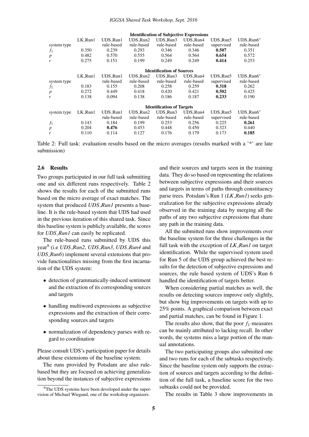| $LK_R$ unl | UDS_Run1   | UDS_Run2   | UDS_Run3   | UDS_Run4   | UDS_Run5                                                             | $UDS_Run6*$                                     |
|------------|------------|------------|------------|------------|----------------------------------------------------------------------|-------------------------------------------------|
|            | rule-based | rule-based | rule-based | rule-based | supervised                                                           | rule-based                                      |
| 0.350      | 0.239      | 0.293      | 0.346      | 0.346      | 0.507                                                                | 0.351                                           |
| 0.482      | 0.570      | 0.555      | 0.564      | 0.564      | 0.654                                                                | 0.572                                           |
| 0.275      | 0.151      | 0.199      | 0.249      | 0.249      | 0.414                                                                | 0.253                                           |
|            |            |            |            |            |                                                                      |                                                 |
| LK_Run1    | UDS_Run1   | UDS_Run2   | UDS_Run3   | UDS_Run4   | UDS_Run5                                                             | $UDS_Run6*$                                     |
|            | rule-based | rule-based | rule-based | rule-based | supervised                                                           | rule-based                                      |
| 0.183      | 0.155      | 0.208      | 0.258      | 0.259      | 0.318                                                                | 0.262                                           |
| 0.272      | 0.449      | 0.418      | 0.420      | 0.421      | 0.502                                                                | 0.425                                           |
| 0.138      | 0.094      | 0.138      | 0.186      | 0.187      | 0.233                                                                | 0.190                                           |
|            |            |            |            |            |                                                                      |                                                 |
| LK_Run1    | UDS_Run1   | UDS_Run2   | UDS_Run3   | UDS_Run4   | UDS_Run5                                                             | $UDS_Run6*$                                     |
|            | rule-based | rule-based | rule-based | rule-based | supervised                                                           | rule-based                                      |
| 0.143      | 0.184      | 0.199      | 0.253      | 0.256      | 0.225                                                                | 0.261                                           |
| 0.204      | 0.476      | 0.453      | 0.448      | 0.450      | 0.323                                                                | 0.440                                           |
| 0.110      | 0.114      | 0.127      | 0.176      | 0.179      | 0.173                                                                | 0.185                                           |
|            |            |            |            |            | <b>Identification of Sources</b><br><b>Identification of Targets</b> | <b>Identification of Subjective Expressions</b> |

Table 2: Full task: evaluation results based on the micro averages (results marked with a '\*' are late submission)

#### 2.6 Results

Two groups participated in our full task submitting one and six different runs respectively. Table 2 shows the results for each of the submitted runs based on the micro average of exact matches. The system that produced *UDS Run1* presents a baseline. It is the rule-based system that UDS had used in the previous iteration of this shared task. Since this baseline system is publicly available, the scores for *UDS Run1* can easily be replicated.

The rule-based runs submitted by UDS this year<sup>9</sup> (i.e *UDS Run2*, *UDS Run3*, *UDS Run4* and *UDS Run6*) implement several extensions that provide functionalities missing from the first incarnation of the UDS system:

- detection of grammatically-induced sentiment and the extraction of its corresponding sources and targets
- handling multiword expressions as subjective expressions and the extraction of their corresponding sources and targets
- normalization of dependency parses with regard to coordination

Please consult UDS's participation paper for details about these extensions of the baseline system.

The runs provided by Potsdam are also rulebased but they are focused on achieving generalization beyond the instances of subjective expressions

and their sources and targets seen in the training data. They do so based on representing the relations between subjective expressions and their sources and targets in terms of paths through constituency parse trees. Potsdam's Run 1 (*LK Run1*) seeks generalization for the subjective expressions already observed in the training data by merging all the paths of any two subjective expressions that share any path in the training data.

All the submitted runs show improvements over the baseline system for the three challenges in the full task with the exception of *LK Run1* on target identification. While the supervised system used for Run 5 of the UDS group achieved the best results for the detection of subjective expressions and sources, the rule based system of UDS's Run 6 handled the identification of targets better.

When considering partial matches as well, the results on detecting sources improve only slightly, but show big improvements on targets with up to 25% points. A graphical comparison between exact and partial matches, can be found in Figure 1.

The results also show, that the poor  $f_1$ -measures can be mainly attributed to lacking recall. In other words, the systems miss a large portion of the manual annotations.

The two participating groups also submitted one and two runs for each of the subtasks respectively. Since the baseline system only supports the extraction of sources and targets according to the definition of the full task, a baseline score for the two subtasks could not be provided.

The results in Table 3 show improvements in

<sup>&</sup>lt;sup>9</sup>The UDS systems have been developed under the supervision of Michael Wiegand, one of the workshop organizers.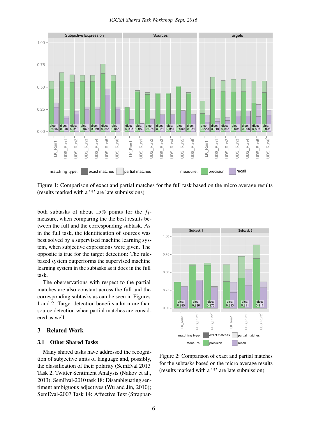

Figure 1: Comparison of exact and partial matches for the full task based on the micro average results (results marked with a '\*' are late submissions)

both subtasks of about 15% points for the *f*1 measure, when comparing the the best results between the full and the corresponding subtask. As in the full task, the identification of sources was best solved by a supervised machine learning system, when subjective expressions were given. The opposite is true for the target detection: The rulebased system outperforms the supervised machine learning system in the subtasks as it does in the full task.

The oberservations with respect to the partial matches are also constant across the full and the corresponding subtasks as can be seen in Figures 1 and 2: Target detection benefits a lot more than source detection when partial matches are considered as well.

#### 3 Related Work

#### 3.1 Other Shared Tasks

Many shared tasks have addressed the recognition of subjective units of language and, possibly, the classification of their polarity (SemEval 2013 Task 2, Twitter Sentiment Analysis (Nakov et al., 2013); SemEval-2010 task 18: Disambiguating sentiment ambiguous adjectives (Wu and Jin, 2010); SemEval-2007 Task 14: Affective Text (Strappar-



Figure 2: Comparison of exact and partial matches for the subtasks based on the micro average results (results marked with a '\*' are late submission)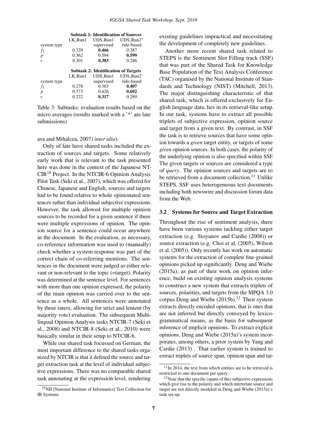|             | <b>Subtask 1: Identification of Sources</b> |                                             |                           |
|-------------|---------------------------------------------|---------------------------------------------|---------------------------|
|             | LK_Run1                                     | UDS_Run1                                    | $UDS_Run2*$               |
| system type |                                             | supervised                                  | rule-based                |
| $f_1$       | 0.329                                       | 0.466                                       | 0.387                     |
| p           | 0.362                                       | 0.594                                       | 0.599                     |
| r           | 0.301                                       | 0.383                                       | 0.286                     |
|             |                                             |                                             |                           |
|             |                                             |                                             |                           |
|             |                                             | <b>Subtask 2: Identification of Targets</b> |                           |
| system type | LK_Run1                                     | UDS_Run1<br>supervised                      | $UDS_Run2*$<br>rule-based |
| $f_1$       | 0.278                                       | 0.363                                       | 0.407                     |
| p           | 0.373                                       | 0.426                                       | 0.692                     |

Table 3: Subtasks: evaluation results based on the micro averages (results marked with a '\*' are late submissions)

#### ava and Mihalcea, 2007) *inter alia*).

Only of late have shared tasks included the extraction of sources and targets. Some relatively early work that is relevant to the task presented here was done in the context of the Japanese NT- $CIR<sup>10</sup>$  Project. In the NTCIR-6 Opinion Analysis Pilot Task (Seki et al., 2007), which was offered for Chinese, Japanese and English, sources and targets had to be found relative to whole opinionated sentences rather than individual subjective expressions. However, the task allowed for multiple opinion sources to be recorded for a given sentence if there were multiple expressions of opinion. The opinion source for a sentence could occur anywhere in the document. In the evaluation, as necessary, co-reference information was used to (manually) check whether a system response was part of the correct chain of co-referring mentions. The sentences in the document were judged as either relevant or non-relevant to the topic (=target). Polarity was determined at the sentence level. For sentences with more than one opinion expressed, the polarity of the main opinion was carried over to the sentence as a whole. All sentences were annotated by three raters, allowing for strict and lenient (by majority vote) evaluation. The subsequent Multilingual Opinion Analysis tasks NTCIR-7 (Seki et al., 2008) and NTCIR-8 (Seki et al., 2010) were basically similar in their setup to NTCIR-6.

While our shared task focussed on German, the most important difference to the shared tasks organized by NTCIR is that it defined the source and target extraction task at the level of individual subjective expressions. There was no comparable shared task annotating at the expression level, rendering

<sup>10</sup>NII [National Institute of Informatics] Test Collection for IR Systems

existing guidelines impractical and necessitating the development of completely new guidelines.

Another more recent shared task related to STEPS is the Sentiment Slot Filling track (SSF) that was part of the Shared Task for Knowledge Base Population of the Text Analysis Conference (TAC) organised by the National Institute of Standards and Technology (NIST) (Mitchell, 2013). The major distinguishing characteristic of that shared task, which is offered exclusively for English language data, lies in its retrieval-like setup. In our task, systems have to extract all possible triplets of subjective expression, opinion source and target from a given text. By contrast, in SSF the task is to retrieve sources that have some opinion towards a *given* target entity, or targets of some *given* opinion sources. In both cases, the polarity of the underlying opinion is also specified within SSF. The given targets or sources are considered a type of *query*. The opinion sources and targets are to be retrieved from a document collection.<sup>11</sup> Unlike STEPS, SSF uses heterogeneous text documents including both newswire and discussion forum data from the Web.

#### 3.2 Systems for Source and Target Extraction

Throughout the rise of sentiment analysis, there have been various systems tackling either target extraction (e.g. Stoyanov and Cardie (2008)) or source extraction (e.g. Choi et al. (2005), Wilson et al. (2005)). Only recently has work on automatic systems for the extraction of complete fine-grained opinions picked up significantly. Deng and Wiebe (2015a), as part of their work on opinion inference, build on existing opinion analysis systems to construct a new system that extracts triplets of sources, polarities, and targets from the MPQA 3.0 corpus Deng and Wiebe  $(2015b).<sup>12</sup>$  Their system extracts directly encoded opinions, that is ones that are not inferred but directly conveyed by lexicogrammatical means, as the basis for subsequent inference of implicit opinions. To extract explicit opinions, Deng and Wiebe (2015a)'s system incorporates, among others, a prior system by Yang and Cardie (2013) . That earlier system is trained to extract triplets of source span, opinion span and tar-

 $11$ In 2014, the text from which entities are to be retrieved is restricted to one document per query.

 $12$ Note that the specific (spans of the) subjective expressions which give rise to the polarity and which interrelate source and target are not directly modeled in Deng and Wiebe (2015a)'s task set-up.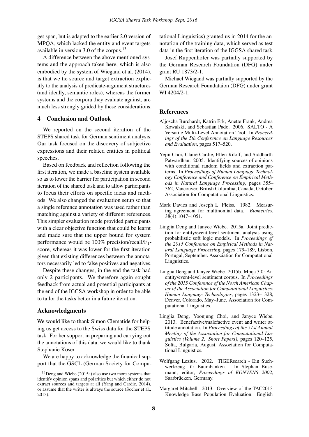get span, but is adapted to the earlier 2.0 version of MPQA, which lacked the entity and event targets available in version 3.0 of the corpus.<sup>13</sup>

A difference between the above mentioned systems and the approach taken here, which is also embodied by the system of Wiegand et al. (2014), is that we tie source and target extraction explicitly to the analysis of predicate-argument structures (and ideally, semantic roles), whereas the former systems and the corpora they evaluate against, are much less strongly guided by these considerations.

#### 4 Conclusion and Outlook

We reported on the second iteration of the STEPS shared task for German sentiment analysis. Our task focused on the discovery of subjective expressions and their related entities in political speeches.

Based on feedback and reflection following the first iteration, we made a baseline system available so as to lower the barrier for participation in second iteration of the shared task and to allow participants to focus their efforts on specific ideas and methods. We also changed the evaluation setup so that a single reference annotation was used rather than matching against a variety of different references. This simpler evaluation mode provided participants with a clear objective function that could be learnt and made sure that the upper bound for system performance would be 100% precision/recall/F1 score, whereas it was lower for the first iteration given that existing differences between the annotators necessarily led to false positives and negatives.

Despite these changes, in the end the task had only 2 participants. We therefore again sought feedback from actual and potential participants at the end of the IGGSA workshop in order to be able to tailor the tasks better in a future iteration.

#### Acknowledgments

We would like to thank Simon Clematide for helping us get access to the Swiss data for the STEPS task. For her support in preparing and carrying out the annotations of this data, we would like to thank Stephanie Köser.

We are happy to acknowledge the finanical support that the GSCL (German Society for Computational Linguistics) granted us in 2014 for the annotation of the training data, which served as test data in the first iteration of the IGGSA shared task.

Josef Ruppenhofer was partially supported by the German Research Foundation (DFG) under grant RU 1873/2-1.

Michael Wiegand was partially supported by the German Research Foundataion (DFG) under grant WI 4204/2-1.

#### **References**

- Aljoscha Burchardt, Katrin Erk, Anette Frank, Andrea Kowalski, and Sebastian Pado. 2006. SALTO - A Versatile Multi-Level Annotation Tool. In *Proceedings of the 5th Conference on Language Resources and Evaluation*, pages 517–520.
- Yejin Choi, Claire Cardie, Ellen Riloff, and Siddharth Patwardhan. 2005. Identifying sources of opinions with conditional random fields and extraction patterns. In *Proceedings of Human Language Technology Conference and Conference on Empirical Methods in Natural Language Processing*, pages 355– 362, Vancouver, British Columbia, Canada, October. Association for Computational Linguistics.
- Mark Davies and Joseph L. Fleiss. 1982. Measuring agreement for multinomial data. *Biometrics*, 38(4):1047–1051.
- Lingjia Deng and Janyce Wiebe. 2015a. Joint prediction for entity/event-level sentiment analysis using probabilistic soft logic models. In *Proceedings of the 2015 Conference on Empirical Methods in Natural Language Processing*, pages 179–189, Lisbon, Portugal, September. Association for Computational Linguistics.
- Lingjia Deng and Janyce Wiebe. 2015b. Mpqa 3.0: An entity/event-level sentiment corpus. In *Proceedings of the 2015 Conference of the North American Chapter of the Association for Computational Linguistics: Human Language Technologies*, pages 1323–1328, Denver, Colorado, May–June. Association for Computational Linguistics.
- Lingjia Deng, Yoonjung Choi, and Janyce Wiebe. 2013. Benefactive/malefactive event and writer attitude annotation. In *Proceedings of the 51st Annual Meeting of the Association for Computational Linguistics (Volume 2: Short Papers)*, pages 120–125, Sofia, Bulgaria, August. Association for Computational Linguistics.
- Wolfgang Lezius. 2002. TIGERsearch Ein Suchwerkzeug für Baumbanken. In Stephan Busemann, editor, *Proceedings of KONVENS 2002*, Saarbrücken, Germany.
- Margaret Mitchell. 2013. Overview of the TAC2013 Knowledge Base Population Evaluation: English

<sup>&</sup>lt;sup>13</sup>Deng and Wiebe (2015a) also use two more systems that identify opinion spans and polarities but which either do not extract sources and targets at all (Yang and Cardie, 2014), or assume that the writer is always the source (Socher et al., 2013).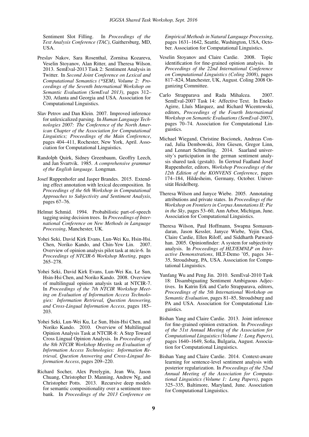Sentiment Slot Filling. In *Proceedings of the Text Analysis Conference (TAC)*, Gaithersburg, MD, USA.

- Preslav Nakov, Sara Rosenthal, Zornitsa Kozareva, Veselin Stoyanov, Alan Ritter, and Theresa Wilson. 2013. SemEval-2013 Task 2: Sentiment Analysis in Twitter. In *Second Joint Conference on Lexical and Computational Semantics (\*SEM), Volume 2: Proceedings of the Seventh International Workshop on Semantic Evaluation (SemEval 2013)*, pages 312– 320, Atlanta and Georgia and USA. Association for Computational Linguistics.
- Slav Petrov and Dan Klein. 2007. Improved inference for unlexicalized parsing. In *Human Language Technologies 2007: The Conference of the North American Chapter of the Association for Computational Linguistics; Proceedings of the Main Conference*, pages 404–411, Rochester, New York, April. Association for Computational Linguistics.
- Randolph Quirk, Sidney Greenbaum, Geoffry Leech, and Jan Svartvik. 1985. *A comprehensive grammar of the English language*. Longman.
- Josef Ruppenhofer and Jasper Brandes. 2015. Extending effect annotation with lexical decomposition. In *Proceedings of the 6th Workshop in Computational Approaches to Subjectivity and Sentiment Analysis*, pages 67–76.
- Helmut Schmid. 1994. Probabilistic part-of-speech tagging using decision trees. In *Proceedings of International Conference on New Methods in Language Processing*, Manchester, UK.
- Yohei Seki, David Kirk Evans, Lun-Wei Ku, Hsin-Hsi. Chen, Noriko Kando, and Chin-Yew Lin. 2007. Overview of opinion analysis pilot task at ntcir-6. In *Proceedings of NTCIR-6 Workshop Meeting*, pages 265–278.
- Yohei Seki, David Kirk Evans, Lun-Wei Ku, Le Sun, Hsin-Hsi Chen, and Noriko Kando. 2008. Overview of multilingual opinion analysis task at NTCIR-7. In *Proceedings of the 7th NTCIR Workshop Meeting on Evaluation of Information Access Technologies: Information Retrieval, Question Answering, and Cross-Lingual Information Access*, pages 185– 203.
- Yohei Seki, Lun-Wei Ku, Le Sun, Hsin-Hsi Chen, and Noriko Kando. 2010. Overview of Multilingual Opinion Analysis Task at NTCIR-8: A Step Toward Cross Lingual Opinion Analysis. In *Proceedings of the 8th NTCIR Workshop Meeting on Evaluation of Information Access Technologies: Information Retrieval, Question Answering and Cross-Lingual Information Access*, pages 209–220.
- Richard Socher, Alex Perelygin, Jean Wu, Jason Chuang, Christopher D. Manning, Andrew Ng, and Christopher Potts. 2013. Recursive deep models for semantic compositionality over a sentiment treebank. In *Proceedings of the 2013 Conference on*

*Empirical Methods in Natural Language Processing*, pages 1631–1642, Seattle, Washington, USA, October. Association for Computational Linguistics.

- Veselin Stoyanov and Claire Cardie. 2008. Topic identification for fine-grained opinion analysis. In *Proceedings of the 22nd International Conference on Computational Linguistics (Coling 2008)*, pages 817–824, Manchester, UK, August. Coling 2008 Organizing Committee.
- Carlo Strapparava and Rada Mihalcea. 2007. SemEval-2007 Task 14: Affective Text. In Eneko Agirre, Lluís Màrquez, and Richard Wicentowski, editors, *Proceedings of the Fourth International Workshop on Semantic Evaluations (SemEval-2007)*, pages 70–74. Association for Computational Linguistics.
- Michael Wiegand, Christine Bocionek, Andreas Conrad, Julia Dembowski, Jörn Giesen, Gregor Linn, and Lennart Schmeling. 2014. Saarland university's participation in the german sentiment analysis shared task (gestalt). In Gertrud Faaßand Josef Ruppenhofer, editors, *Workshop Proceedings of the 12th Edition of the KONVENS Conference*, pages 174–184, Hildesheim, Germany, October. Universität Heidelberg.
- Theresa Wilson and Janyce Wiebe. 2005. Annotating attributions and private states. In *Proceedings of the Workshop on Frontiers in Corpus Annotations II: Pie in the Sky*, pages 53–60, Ann Arbor, Michigan, June. Association for Computational Linguistics.
- Theresa Wilson, Paul Hoffmann, Swapna Somasundaran, Jason Kessler, Janyce Wiebe, Yejin Choi, Claire Cardie, Ellen Riloff, and Siddharth Patwardhan. 2005. Opinionfinder: A system for subjectivity analysis. In *Proceedings of HLT/EMNLP on Interactive Demonstrations*, HLT-Demo '05, pages 34– 35, Stroudsburg, PA, USA. Association for Computational Linguistics.
- Yunfang Wu and Peng Jin. 2010. SemEval-2010 Task 18: Disambiguating Sentiment Ambiguous Adjectives. In Katrin Erk and Carlo Strapparava, editors, *Proceedings of the 5th International Workshop on Semantic Evaluation*, pages 81–85, Stroudsburg and PA and USA. Association for Computational Linguistics.
- Bishan Yang and Claire Cardie. 2013. Joint inference for fine-grained opinion extraction. In *Proceedings of the 51st Annual Meeting of the Association for Computational Linguistics (Volume 1: Long Papers)*, pages 1640–1649, Sofia, Bulgaria, August. Association for Computational Linguistics.
- Bishan Yang and Claire Cardie. 2014. Context-aware learning for sentence-level sentiment analysis with posterior regularization. In *Proceedings of the 52nd Annual Meeting of the Association for Computational Linguistics (Volume 1: Long Papers)*, pages 325–335, Baltimore, Maryland, June. Association for Computational Linguistics.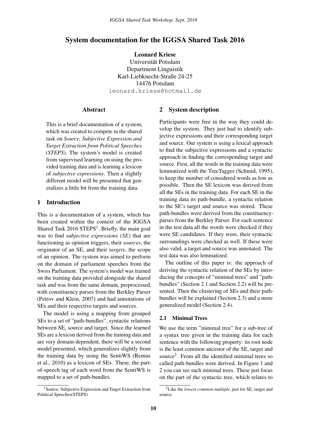#### <span id="page-14-0"></span>System documentation for the IGGSA Shared Task 2016

Leonard Kriese Universität Potsdam Department Linguistik Karl-Liebknecht-Straße 24-25 14476 Potsdam leonard.kriese@hotmail.de

#### **Abstract**

This is a brief documentation of a system, which was created to compete in the shared task on *Source, Subjective Expression and Target Extraction from Political Speeches (STEPS).* The system's model is created from supervised learning on using the provided training data and is learning a lexicon of *subjective expressions*. Then a slightly different model will be presented that generalizes a little bit from the training data.

#### 1 Introduction

This is a documentation of a system, which has been created within the context of the IGGSA Shared Task  $2016$  STEPS<sup>1</sup>. Briefly, the main goal was to find *subjective expressions (SE)* that are functioning as opinion triggers, their *sources*, the originator of an SE, and their *targets*, the scope of an opinion. The system was aimed to perform on the domain of parliament speeches from the Swiss Parliament. The system's model was trained on the training data provided alongside the shared task and was from the same domain, preprocessed, with constituency parses from the Berkley Parser (Petrov and Klein, 2007) and had annotations of SEs and their respective targets and sources.

The model is using a mapping from grouped SEs to a set of "path-bundles", syntactic relations between SE, source and target. Since the learned SEs are a lexicon derived from the training data and are very domain-dependent, there will be a second model presented, which generalizes slightly from the training data by using the SentiWS (Remus et al., 2010) as a lexicon of SEs. There, the partof-speech tag of each word from the SentiWS is mapped to a set of path-bundles.

#### 2 System description

Participants were free in the way they could develop the system. They just had to identify subjective expressions and their corresponding target and source. Our system is using a lexical approach to find the subjective expressions and a syntactic approach in finding the corresponding target and source. First, all the words in the training data were lemmatized with the TreeTagger (Schmid, 1995), to keep the number of considered words as low as possible. Then the SE lexicon was derived from all the SEs in the training data. For each SE in the training data its path-bundle, a syntactic relation to the SE's target and source was stored. These path-bundles were derived from the constituencyparses from the Berkley Parser. For each sentence in the test data all the words were checked if they were SE candidates. If they were, their syntactic surroundings were checked as well. If these were also valid, a target and source was annotated. The test data was also lemmatized.

The outline of this paper is: the approach of deriving the syntactic relation of the SEs by introducing the concepts of "minimal trees" and "pathbundles" (Section 2.1 and Section 2.2) will be presented. Then the clustering of SEs and their pathbundles will be explained (Section 2.3) and a more generalized model (Section 2.4).

#### 2.1 Minimal Trees

We use the term "minimal tree" for a sub-tree of a syntax tree given in the training data for each sentence with the following property: its root node is the least common ancestor of the SE, target and source<sup>2</sup> . From all the identified minimal trees so called path-bundles were derived. In Figure 1 and 2 you can see such minimal trees. These just focus on the part of the syntactic tree, which relates to

<sup>&</sup>lt;sup>1</sup> Source, Subjective Expression and Target Extraction from Political Speeches(STEPS)

<sup>2</sup>Like the *lowest common multiple*, just for SE, target and source.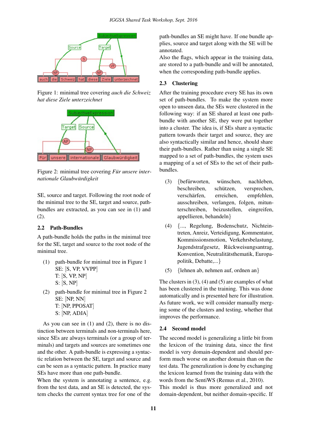

Figure 1: minimal tree covering *auch die Schweiz hat diese Ziele unterzeichnet*



Figure 2: minimal tree covering *Fur unsere internationale Glaubwurdigkeit ¨*

SE, source and target. Following the root node of the minimal tree to the SE, target and source, pathbundles are extracted, as you can see in (1) and (2).

#### 2.2 Path-Bundles

A path-bundle holds the paths in the minimal tree for the SE, target and source to the root node of the minimal tree.

- (1) path-bundle for minimal tree in Figure 1 SE: [S, VP, VVPP] T: [S, VP, NP] S: [S, NP]
- (2) path-bundle for minimal tree in Figure 2 SE: [NP, NN] T: [NP, PPOSAT] S: [NP, ADJA]

As you can see in (1) and (2), there is no distinction between terminals and non-terminals here, since SEs are always terminals (or a group of terminals) and targets and sources are sometimes one and the other. A path-bundle is expressing a syntactic relation between the SE, target and source and can be seen as a syntactic pattern. In practice many SEs have more than one path-bundle.

When the system is annotating a sentence, e.g. from the test data, and an SE is detected, the system checks the current syntax tree for one of the

path-bundles an SE might have. If one bundle applies, source and target along with the SE will be annotated.

Also the flags, which appear in the training data, are stored to a path-bundle and will be annotated, when the corresponding path-bundle applies.

#### 2.3 Clustering

After the training procedure every SE has its own set of path-bundles. To make the system more open to unseen data, the SEs were clustered in the following way: if an SE shared at least one pathbundle with another SE, they were put together into a cluster. The idea is, if SEs share a syntactic pattern towards their target and source, they are also syntactically similar and hence, should share their path-bundles. Rather than using a single SE mapped to a set of path-bundles, the system uses a mapping of a set of SEs to the set of their pathbundles.

- $(3)$  {befurworten, wünschen, nachleben, beschreiben, schützen, versprechen, verschärfen, erreichen, empfehlen, ausschreiben, verlangen, folgen, mitunterschreiben, beizustellen, eingreifen, appellieren, behandeln}
- (4) {..., Regelung, Bodenschutz, Nichteintreten, Anreiz, Verteidigung, Kommentator, Kommissionsmotion, Verkehrsbelastung, Jugendstrafgesetz, Rückweisungsantrag, Konvention, Neutralitätsthematik, Europapolitik, Debatte,...}
- (5) {lehnen ab, nehmen auf, ordnen an}

The clusters in  $(3)$ ,  $(4)$  and  $(5)$  are examples of what has been clustered in the training. This was done automatically and is presented here for illustration. As future work, we will consider manually merging some of the clusters and testing, whether that improves the performance.

#### 2.4 Second model

The second model is generalizing a little bit from the lexicon of the training data, since the first model is very domain-dependent and should perform much worse on another domain than on the test data. The generalization is done by exchanging the lexicon learned from the training data with the words from the SentiWS (Remus et al., 2010).

This model is thus more generalized and not domain-dependent, but neither domain-specific. If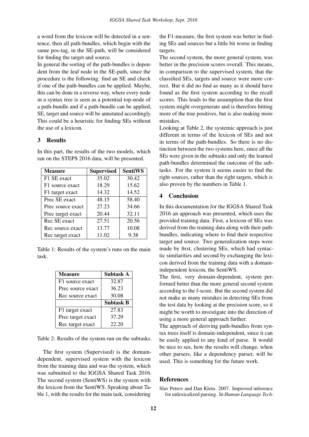a word from the lexicon will be detected in a sentence, then all path-bundles, which begin with the same pos-tag, in the SE-path, will be considered for finding the target and source.

In general the sorting of the path-bundles is dependent from the leaf node in the SE-path, since the procedure is the following: find an SE and check if one of the path-bundles can be applied. Maybe, this can be done in a reverse way, where every node in a syntax tree is seen as a potential top-node of a path-bundle and if a path-bundle can be applied, SE, target and source will be annotated accordingly. This could be a heuristic for finding SEs without the use of a lexicon.

#### 3 Results

| <b>Measure</b>    | <b>Supervised</b> | <b>SentiWS</b> |
|-------------------|-------------------|----------------|
| F1 SE exact       | 35.02             | 30.42          |
| F1 source exact   | 18.29             | 15.62          |
| F1 target exact   | 14.32             | 14.52          |
| Prec SE exact     | 48.15             | 58.40          |
| Prec source exact | 27.23             | 34.66          |
| Prec target exact | 20.44             | 32.11          |
| Rec SE exact      | 27.51             | 20.56          |
| Rec source exact  | 13.77             | 10.08          |
| Rec target exact  | 11.02             | 9.38           |

In this part, the results of the two models, which ran on the STEPS 2016 data, will be presented.

Table 1: Results of the system's runs on the main task.

| <b>Measure</b>    | Subtask A        |
|-------------------|------------------|
| F1 source exact   | 32.87            |
| Prec source exact | 36.23            |
| Rec source exact  | 30.08            |
|                   | <b>Subtask B</b> |
| F1 target exact   | 27.83            |
| Prec target exact | 37.29            |
| Rec target exact  | 22.20            |

Table 2: Results of the system run on the subtasks.

The first system (Supervised) is the domaindependent, supervised system with the lexicon from the training data and was the system, which was submitted to the IGGSA Shared Task 2016. The second system (SentiWS) is the system with the lexicon from the SentiWS. Speaking about Table 1, with the results for the main task, considering

the F1-measure, the first system was better in finding SEs and sources but a little bit worse in finding targets.

The second system, the more general system, was better in the precision scores overall. This means, in comparison to the supervised system, that the classified SEs, targets and source were more correct. But it did no find as many as it should have found as the first system according to the recall scores. This leads to the assumption that the first system might overgenerate and is therefore hitting more of the true positives, but is also making more mistakes.

Looking at Table 2, the systemic approach is just different in terms of the lexicon of SEs and not in terms of the path-bundles. So there is no distinction between the two systems here, since all the SEs were given in the subtasks and only the learned path-bundles determined the outcome of the subtasks. For the system it seems easier to find the right sources, rather than the right targets, which is also proven by the numbers in Table 1.

#### 4 Conclusion

In this documentation for the IGGSA Shared Task 2016 an approach was presented, which uses the provided training data. First, a lexicon of SEs was derived from the training data along with their pathbundles, indicating where to find their respective target and source. Two generalization steps were made by first, clustering SEs, which had syntactic similarities and second by exchanging the lexicon derived from the training data with a domainindependent lexicon, the SentiWS.

The first, very domain-dependent, system performed better than the more general second system according to the f-score. But the second system did not make as many mistakes in detecting SEs from the test data by looking at the precision score, so it might be worth to investigate into the direction of using a more general approach further.

The approach of deriving path-bundles from syntax trees itself is domain-independent, since it can be easily applied to any kind of parse. It would be nice to see, how the results will change, when other parsers, like a dependency parser, will be used. This is something for the future work.

#### References

Slav Petrov and Dan Klein. 2007. Improved inference for unlexicalized parsing. In *Human Language Tech-*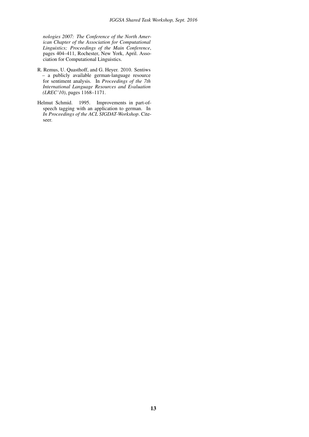*nologies 2007: The Conference of the North American Chapter of the Association for Computational Linguistics; Proceedings of the Main Conference*, pages 404–411, Rochester, New York, April. Association for Computational Linguistics.

- R. Remus, U. Quasthoff, and G. Heyer. 2010. Sentiws – a publicly available german-language resource for sentiment analysis. In *Proceedings of the 7th International Language Resources and Evaluation (LREC'10)*, pages 1168–1171.
- Helmut Schmid. 1995. Improvements in part-ofspeech tagging with an application to german. In *In Proceedings of the ACL SIGDAT-Workshop*. Citeseer.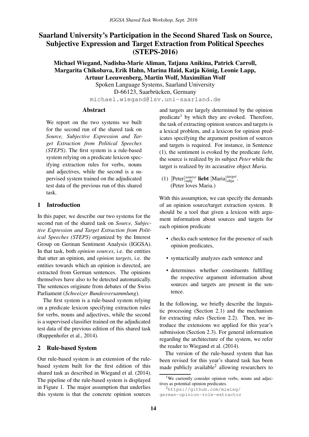### <span id="page-18-0"></span>Saarland University's Participation in the Second Shared Task on Source, Subjective Expression and Target Extraction from Political Speeches (STEPS-2016)

Michael Wiegand, Nadisha-Marie Aliman, Tatjana Anikina, Patrick Carroll, Margarita Chikobava, Erik Hahn, Marina Haid, Katja König, Leonie Lapp, Artuur Leeuwenberg, Martin Wolf, Maximilian Wolf

> Spoken Language Systems, Saarland University D-66123, Saarbrücken, Germany michael.wiegand@lsv.uni-saarland.de

#### Abstract

We report on the two systems we built for the second run of the shared task on *Source, Subjective Expression and Target Extraction from Political Speeches (STEPS)*. The first system is a rule-based system relying on a predicate lexicon specifying extraction rules for verbs, nouns and adjectives, while the second is a supervised system trained on the adjudicated test data of the previous run of this shared task.

#### 1 Introduction

In this paper, we describe our two systems for the second run of the shared task on *Source, Subjective Expression and Target Extraction from Political Speeches (STEPS)* organized by the Interest Group on German Sentiment Analysis (IGGSA). In that task, both *opinion sources*, i.e. the entities that utter an opinion, and *opinion targets*, i.e. the entities towards which an opinion is directed, are extracted from German sentences. The opinions themselves have also to be detected automatically. The sentences originate from debates of the Swiss Parliament (*Schweizer Bundesversammlung*).

The first system is a rule-based system relying on a predicate lexicon specifying extraction rules for verbs, nouns and adjectives, while the second is a supervised classifier trained on the adjudicated test data of the previous edition of this shared task (Ruppenhofer et al., 2014).

#### 2 Rule-based System

Our rule-based system is an extension of the rulebased system built for the first edition of this shared task as described in Wiegand et al. (2014). The pipeline of the rule-based system is displayed in Figure 1. The major assumption that underlies this system is that the concrete opinion sources

and targets are largely determined by the opinion predicate<sup>1</sup> by which they are evoked. Therefore, the task of extracting opinion sources and targets is a lexical problem, and a lexicon for opinion predicates specifying the argument position of sources and targets is required. For instance, in Sentence (1), the sentiment is evoked by the predicate *liebt*, the source is realized by its subject *Peter* while the target is realized by its accusative object *Maria*.

(1)  $[Peter]_{subj}^{source}$  **liebt**  $[Maria]_{obja}^{target}$ . (Peter loves Maria.)

With this assumption, we can specify the demands of an opinion source/target extraction system. It should be a tool that given a lexicon with argument information about sources and targets for each opinion predicate

- checks each sentence for the presence of such opinion predicates,
- syntactically analyzes each sentence and
- determines whether constituents fulfilling the respective argument information about sources and targets are present in the sentence.

In the following, we briefly describe the linguistic processing (Section 2.1) and the mechanism for extracting rules (Section 2.2). Then, we introduce the extensions we applied for this year's submission (Section 2.3). For general information regarding the architecture of the system, we refer the reader to Wiegand et al. (2014).

The version of the rule-based system that has been revised for this year's shared task has been made publicly available<sup>2</sup> allowing researchers to

<sup>&</sup>lt;sup>1</sup>We currently consider opinion verbs, nouns and adjectives as potential opinion predicates.

<sup>2</sup>https://github.com/miwieg/ german-opinion-role-extractor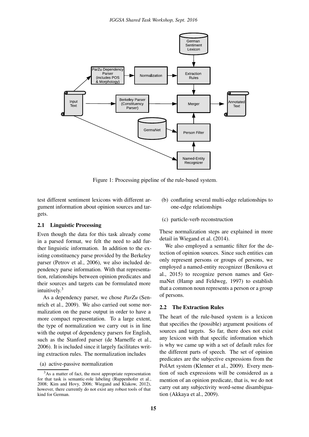

Figure 1: Processing pipeline of the rule-based system.

test different sentiment lexicons with different argument information about opinion sources and targets.

#### 2.1 Linguistic Processing

Even though the data for this task already come in a parsed format, we felt the need to add further linguistic information. In addition to the existing constituency parse provided by the Berkeley parser (Petrov et al., 2006), we also included dependency parse information. With that representation, relationships between opinion predicates and their sources and targets can be formulated more intuitively.<sup>3</sup>

As a dependency parser, we chose *ParZu* (Sennrich et al., 2009). We also carried out some normalization on the parse output in order to have a more compact representation. To a large extent, the type of normalization we carry out is in line with the output of dependency parsers for English, such as the Stanford parser (de Marneffe et al., 2006). It is included since it largely facilitates writing extraction rules. The normalization includes

(a) active-passive normalization

- (b) conflating several multi-edge relationships to one-edge relationships
- (c) particle-verb reconstruction

These normalization steps are explained in more detail in Wiegand et al. (2014).

We also employed a semantic filter for the detection of opinion sources. Since such entities can only represent persons or groups of persons, we employed a named-entity recognizer (Benikova et al., 2015) to recognize person names and GermaNet (Hamp and Feldweg, 1997) to establish that a common noun represents a person or a group of persons.

#### 2.2 The Extraction Rules

The heart of the rule-based system is a lexicon that specifies the (possible) argument positions of sources and targets. So far, there does not exist any lexicon with that specific information which is why we came up with a set of default rules for the different parts of speech. The set of opinion predicates are the subjective expressions from the PolArt system (Klenner et al., 2009). Every mention of such expressions will be considered as a mention of an opinion predicate, that is, we do not carry out any subjectivity word-sense disambiguation (Akkaya et al., 2009).

<sup>3</sup>As a matter of fact, the most appropriate representation for that task is semantic-role labeling (Ruppenhofer et al., 2008; Kim and Hovy, 2006; Wiegand and Klakow, 2012), however, there currently do not exist any robust tools of that kind for German.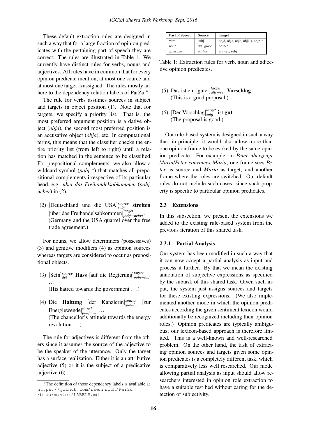These default extraction rules are designed in such a way that for a large fraction of opinion predicates with the pertaining part of speech they are correct. The rules are illustrated in Table 1. We currently have distinct rules for verbs, nouns and adjectives. All rules have in common that for every opinion predicate mention, at most one source and at most one target is assigned. The rules mostly adhere to the dependency relation labels of ParZu.<sup>4</sup>

The rule for verbs assumes sources in subject and targets in object position (1). Note that for targets, we specify a priority list. That is, the most preferred argument position is a dative object (*objd*), the second most preferred position is an accusative object (*obja*), etc. In computational terms, this means that the classifier checks the entire priority list (from left to right) until a relation has matched in the sentence to be classified. For prepositional complements, we also allow a wildcard symbol (*pobj-\**) that matches all prepositional complements irrespective of its particular head, e.g. *über das Freihandelsabkommen* (pobj*ueber*) in (2).

(2) [Deutschland und die USA]<sup>*source*</sup> streiten [¨uber das Freihandelsabkommen] *target pobj*−*ueber*. (Germany and the USA quarrel over the free trade agreement.)

For nouns, we allow determiners (possessives) (3) and genitive modifiers (4) as opinion sources whereas targets are considered to occur as prepositional objects.

- (3) [Sein] *source det* Hass [auf die Regierung] *target pobj*−*auf* ... (His hatred towards the government ...)
- (4) Die Haltung [der Kanzlerin] *source gmod* [zur Energiewende] *target pobj*−*zu* ... (The chancellor's attitude towards the energy revolution ...)

The rule for adjectives is different from the others since it assumes the source of the adjective to be the speaker of the utterance. Only the target has a surface realization. Either it is an attributive adjective (5) or it is the subject of a predicative adjective (6).

| Part of Speech | <b>Source</b> | <b>Target</b>                     |
|----------------|---------------|-----------------------------------|
| verb           | subj          | objd, obja, objc, obji, s, objp-* |
| noun           | det, gmod     | $obip-*$                          |
| adjective      | author        | attr-rev, subj                    |

Table 1: Extraction rules for verb, noun and adjective opinion predicates.

- (5) Das ist ein [guter] *target attr*−*rev* Vorschlag. (This is a good proposal.)
- (6)  $[Der Vorschlag]_{subj}^{target}$  ist gut. (The proposal is good.)

Our rule-based system is designed in such a way that, in principle, it would also allow more than one opinion frame to be evoked by the same opinion predicate. For example, in *Peter überzeugt Maria*/*Peter convinces Maria*, one frame sees *Peter* as source and *Maria* as target, and another frame where the roles are switched. Our default rules do not include such cases, since such property is specific to particular opinion predicates.

#### 2.3 Extensions

In this subsection, we present the extensions we added to the existing rule-based system from the previous iteration of this shared task.

#### 2.3.1 Partial Analysis

Our system has been modified in such a way that it can now accept a partial analysis as input and process it further. By that we mean the existing annotation of subjective expressions as specified by the subtask of this shared task. Given such input, the system just assigns sources and targets for these existing expressions. (We also implemented another mode in which the opinion predicates according the given sentiment lexicon would additionally be recognized including their opinion roles.) Opinion predicates are typically ambiguous; our lexicon-based approach is therefore limited. This is a well-known and well-researched problem. On the other hand, the task of extracting opinion sources and targets given some opinion predicates is a completely different task, which is comparatively less well researched. Our mode allowing partial analysis as input should allow researchers interested in opinion role extraction to have a suitable test bed without caring for the detection of subjectivity.

<sup>4</sup>The definition of those dependency labels is available at https://github.com/rsennrich/ParZu /blob/master/LABELS.md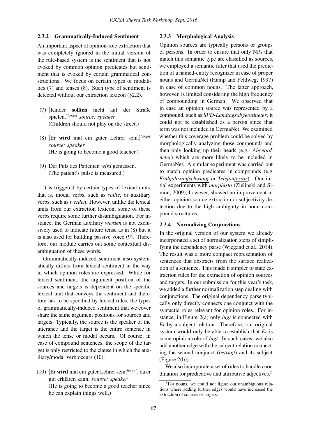#### 2.3.2 Grammatically-Induced Sentiment

An important aspect of opinion-role extraction that was completely ignored in the initial version of the rule-based system is the sentiment that is not evoked by common opinion predicates but sentiment that is evoked by certain grammatical constructions. We focus on certain types of modalities (7) and tenses (8). Such type of sentiment is detected without our extraction lexicon (§2.2).

- (7) [Kinder sollten nicht auf der Straße spielen.] *target source: speaker* (Children should not play on the street.)
- (8) [Er wird mal ein guter Lehrer sein.] *target source: speaker* (He is going to become a good teacher.)
- (9) Der Puls des Patienten *wird* gemessen. (The patient's pulse is measured.)

It is triggered by certain types of lexical units, that is, modal verbs, such as *sollte*, or auxiliary verbs, such as *werden*. However, unlike the lexical units from our extraction lexicon, some of these verbs require some further disambiguation. For instance, the German auxiliary *werden* is not exclusively used to indicate future tense as in (8) but it is also used for building passive voice (9). Therefore, our module carries out some contextual disambiguation of these words.

Grammatically-induced sentiment also systematically differs from lexical sentiment in the way in which opinion roles are expressed. While for lexical sentiment, the argument position of the sources and targets is dependent on the specific lexical unit that conveys the sentiment and therefore has to be specified by lexical rules, the types of grammatically-induced sentiment that we cover share the same argument positions for sources and targets. Typically, the source is the speaker of the utterance and the target is the entire sentence in which the tense or modal occurs. Of course, in case of compound sentences, the scope of the target is only restricted to the clause in which the auxiliary/modal verb occurs (10).

(10) [Er wird mal ein guter Lehrer sein] *target*, da er gut erklären kann. source: speaker (He is going to become a good teacher since he can explain things well.)

#### 2.3.3 Morphological Analysis

Opinion sources are typically persons or groups of persons. In order to ensure that only NPs that match this semantic type are classified as sources, we employed a semantic filter that used the prediction of a named-entity recognizer in case of proper nouns and GermaNet (Hamp and Feldweg, 1997) in case of common nouns. The latter approach, however, is limited considering the high frequency of compounding in German. We observed that in case an opinion source was represented by a compound, such as *SPD-Landtagsabgeordneter*, it could not be established as a person since that term was not included in GermaNet. We examined whether this coverage problem could be solved by morphologically analyzing those compounds and then only looking up their heads (e.g. *Abgeordneter*) which are more likely to be included in GermaNet. A similar experiment was carried out to match opinion predicates in compounds (e.g. *Frühjahrsaufschwung* or *Telefonterror*). Our initial experiments with *morphisto* (Zielinski and Simon, 2009), however, showed no improvement in either opinion source extraction or subjectivity detection due to the high ambiguity in noun compound structures.

#### 2.3.4 Normalizing Conjunctions

In the original version of our system we already incorporated a set of normalization steps of simplifying the dependency parse (Wiegand et al., 2014). The result was a more compact representation of sentences that abstracts from the surface realization of a sentence. This made it simpler to state extraction rules for the extraction of opinion sources and targets. In our submission for this year's task, we added a further normalization step dealing with conjunctions. The original dependency parse typically only directly connects one conjunct with the syntactic roles relevant for opinion roles. For instance, in Figure 2(a) only *lugt* is connected with *Er* by a subject relation. Therefore, our original system would only be able to establish that *Er* is some opinion role of *lügt*. In such cases, we also add another edge with the subject relation connecting the second conjunct (*betrugt*) and its subject (Figure 2(b)).

We also incorporate a set of rules to handle coordination for predicative and attributive adjectives.<sup>5</sup>

<sup>&</sup>lt;sup>5</sup>For nouns, we could not figure out unambiguous relations where adding further edges would have increased the extraction of sources or targets.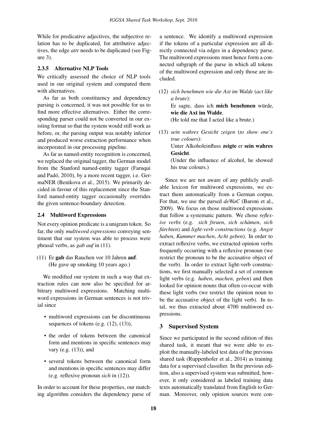While for predicative adjectives, the subjective relation has to be duplicated, for attributive adjectives, the edge *attr* needs to be duplicated (see Figure 3).

#### 2.3.5 Alternative NLP Tools

We critically assessed the choice of NLP tools used in our original system and compared them with alternatives.

As far as both constituency and dependency parsing is concerned, it was not possible for us to find more effective alternatives. Either the corresponding parser could not be converted in our existing format so that the system would still work as before, or, the parsing output was notably inferior and produced worse extraction performance when incorporated in our processing pipeline.

As far as named-entity recognition is concerned, we replaced the original tagger, the German model from the Stanford named-entity tagger (Faruqui and Padó, 2010), by a more recent tagger, i.e. GermaNER (Benikova et al., 2015). We primarily decided in favour of this replacement since the Stanford named-entity tagger occasionally overrides the given sentence-boundary detection.

#### 2.4 Multiword Expressions

Not every opinion predicate is a unigram token. So far, the only *multiword expressions* conveying sentiment that our system was able to process were phrasal verbs, as *gab auf* in (11).

(11) Er gab das Rauchen vor 10 Jahren auf. (He gave up smoking 10 years ago.)

We modified our system in such a way that extraction rules can now also be specified for arbitrary multiword expressions. Matching multiword expressions in German sentences is not trivial since

- multiword expressions can be discontinuous sequences of tokens (e.g.  $(12)$ ,  $(13)$ ),
- the order of tokens between the canonical form and mentions in specific sentences may vary (e.g. (13)), and
- several tokens between the canonical form and mentions in specific sentences may differ (e.g. reflexive pronoun *sich* in (12)).

In order to account for these properties, our matching algorithm considers the dependency parse of

a sentence. We identify a multiword expression if the tokens of a particular expression are all directly connected via edges in a dependency parse. The multiword expressions must hence form a connected subgraph of the parse in which all tokens of the multiword expression and only those are included.

- (12) *sich benehmen wie die Axt im Walde* (*act like a brute*): Er sagte, dass ich mich benehmen würde, wie die Axt im Walde. (He told me that I acted like a brute.)
- (13) *sein wahres Gesicht zeigen* (*to show one's true colours*): Unter Alkoholeinfluss zeigte er sein wahres Gesicht. (Under the influence of alcohol, he showed his true colours.)

Since we are not aware of any publicly available lexicon for multiword expressions, we extract them automatically from a German corpus. For that, we use the parsed *deWaC* (Baroni et al., 2009). We focus on those multiword expressions that follow a systematic pattern. We chose *reflexive verbs* (e.g. *sich freuen*, *sich schamen ¨* , *sich fürchten*) and *light-verb constructions* (e.g. *Angst haben*, *Kummer machen*, *Acht geben*). In order to extract reflexive verbs, we extracted opinion verbs frequently occurring with a reflexive pronoun (we restrict the pronoun to be the accusative object of the verb). In order to extract light-verb constructions, we first manually selected a set of common light verbs (e.g. *haben*, *machen*, *geben*) and then looked for opinion nouns that often co-occur with these light verbs (we restrict the opinion noun to be the accusative object of the light verb). In total, we thus extracted about 4700 multiword expressions.

#### 3 Supervised System

Since we participated in the second edition of this shared task, it meant that we were able to exploit the manually-labeled test data of the previous shared task (Ruppenhofer et al., 2014) as training data for a supervised classifier. In the previous edition, also a supervised system was submitted, however, it only considered as labeled training data texts automatically translated from English to German. Moreover, only opinion sources were con-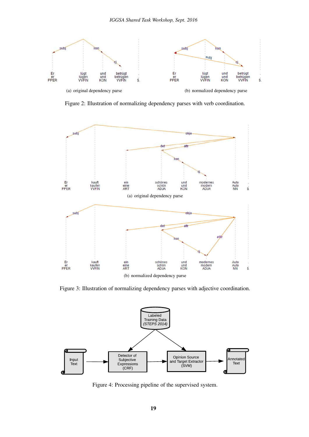

Figure 2: Illustration of normalizing dependency parses with verb coordination.



Figure 3: Illustration of normalizing dependency parses with adjective coordination.



Figure 4: Processing pipeline of the supervised system.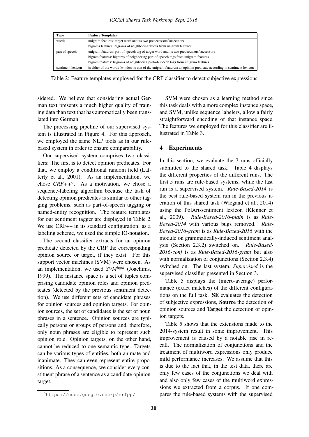| <b>Type</b>       | <b>Feature Templates</b>                                                                                            |
|-------------------|---------------------------------------------------------------------------------------------------------------------|
| words             | unigram features: target word and its two predecessors/successors                                                   |
|                   | bigrams features: bigrams of neighboring words from unigram features                                                |
| part of speech    | unigram features: part-of-speech tag of target word and its two predecessors/successors                             |
|                   | bigram features: bigrams of neighboring part-of-speech tags from unigram features                                   |
|                   | bigram features: trigrams of neighboring part-of-speech tags from unigram features                                  |
| sentiment lexicon | is either of the words (window is that of the unigram features) an opinion predicate according to sentiment lexicon |

Table 2: Feature templates employed for the CRF classifier to detect subjective expressions.

sidered. We believe that considering actual German text presents a much higher quality of training data than text that has automatically been translated into German.

The processing pipeline of our supervised system is illustrated in Figure 4. For this approach, we employed the same NLP tools as in our rulebased system in order to ensure comparability.

Our supervised system comprises two classifiers: The first is to detect opinion predicates. For that, we employ a conditional random field (Lafferty et al., 2001). As an implementation, we chose  $CRF++^6$ . As a motivation, we chose a sequence-labeling algorithm because the task of detecting opinion predicates is similar to other tagging problems, such as part-of-speech tagging or named-entity recognition. The feature templates for our sentiment tagger are displayed in Table 2. We use CRF++ in its standard configuration; as a labeling scheme, we used the simple IO-notation.

The second classifier extracts for an opinion predicate detected by the CRF the corresponding opinion source or target, if they exist. For this support vector machines (SVM) were chosen. As an implementation, we used *SVMlight* (Joachims, 1999). The instance space is a set of tuples comprising candidate opinion roles and opinion predicates (detected by the previous sentiment detection). We use different sets of candidate phrases for opinion sources and opinion targets. For opinion sources, the set of candidates is the set of noun phrases in a sentence. Opinion sources are typically persons or groups of persons and, therefore, only noun phrases are eligible to represent such opinion role. Opinion targets, on the other hand, cannot be reduced to one semantic type. Targets can be various types of entities, both animate and inanimate. They can even represent entire propositions. As a consequence, we consider every constituent phrase of a sentence as a candidate opinion target.

SVM were chosen as a learning method since this task deals with a more complex instance space, and SVM, unlike sequence labelers, allow a fairly straightforward encoding of that instance space. The features we employed for this classifier are illustrated in Table 3.

#### 4 Experiments

In this section, we evaluate the 7 runs officially submitted to the shared task. Table 4 displays the different properties of the different runs. The first 5 runs are rule-based systems, while the last run is a supervised system. *Rule-Based-2014* is the best rule-based system run in the previous iteration of this shared task (Wiegand et al., 2014) using the PolArt-sentiment lexicon (Klenner et al., 2009). *Rule-Based-2016-plain* is as *Rule-Based-2014* with various bugs removed. *Rule-Based-2016-gram* is as *Rule-Based-2016* with the module on grammatically-induced sentiment analysis (Section 2.3.2) switched on. *Rule-Based-2016-conj* is as *Rule-Based-2016-gram* but also with normalization of conjunctions (Section 2.3.4) switched on. The last system, *Supervised* is the supervised classifier presented in Section 3.

Table 5 displays the (micro-average) performance (exact matches) of the different configurations on the full task. SE evaluates the detection of subjective expressions, Source the detection of opinion sources and Target the detection of opinion targets.

Table 5 shows that the extensions made to the 2014-system result in some improvement. This improvement is caused by a notable rise in recall. The normalization of conjunctions and the treatment of multiword expressions only produce mild performance increases. We assume that this is due to the fact that, in the test data, there are only few cases of the conjunctions we deal with and also only few cases of the multiword expressions we extracted from a corpus. If one compares the rule-based systems with the supervised

<sup>6</sup>https://code.google.com/p/crfpp/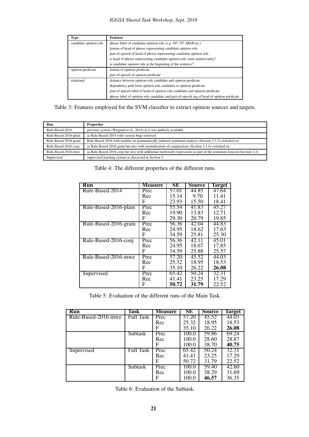| <b>Type</b>            | <b>Features</b>                                                                            |
|------------------------|--------------------------------------------------------------------------------------------|
| candidate opinion role | phrase label of candidate opinion role (e.g. NP, VP, SBAR etc.)                            |
|                        | lemma of head of phrase representing candidate opinion role                                |
|                        | part-of-speech of head of phrase representing candidate opinion role                       |
|                        | is head of phrase representing candidate opinion role some named entity?                   |
|                        | is candidate opinion role at the beginning of the sentence?                                |
| opinion predicate      | lemma of opinion predicate                                                                 |
|                        | part-of-speech of opinion predicate                                                        |
| relational             | distance between opinion role candidate and opinion predicate                              |
|                        | dependency path from opinion role candidate to opinion predicate                           |
|                        | part-of-speech label of head of opinion role candidate and opinion predicate               |
|                        | phrase label of opinion role candidate and part-of-speech tag of head of opinion predicate |

Table 3: Features employed for the SVM classifier to extract opinion sources and targets.

| Run                   | <b>Properties</b>                                                                                                     |
|-----------------------|-----------------------------------------------------------------------------------------------------------------------|
| Rule-Based-2014       | previous system (Wiegand et al., 2014) as it was publicly available                                                   |
| Rule-Based-2016-plain | as Rule-Based-2014 with various bugs removed                                                                          |
| Rule-Based-2016-gram  | Rule-Based-2016 with module on grammatically-induced sentiment analysis (Section 2.3.2) switched on                   |
| Rule-Based-2016-conj  | as Rule-Based-2016-gram but also with normalization of conjunctions (Section 2.3.4) switched on                       |
| Rule-Based-2016-mwe   | as Rule-Based-2016-conj but also with additional multiword expressions as part of the sentiment lexicon (Section 2.4) |
| Supervised            | supervised learning system as discussed in Section 3                                                                  |

| Table 4: The different properties of the different runs. |  |  |
|----------------------------------------------------------|--|--|
|----------------------------------------------------------|--|--|

| Run                   | Measure | SЕ    | Source | <b>Target</b> |
|-----------------------|---------|-------|--------|---------------|
| Rule-Based-2014       | Prec    | 57.01 | 44.85  | 47.64         |
|                       | Rec     | 15.14 | 9.70   | 11.41         |
|                       | F       | 23.93 | 15.50  | 18.41         |
| Rule-Based-2016-plain | Prec    | 55.54 | 41.83  | 45.27         |
|                       | Rec     | 19.90 | 13.83  | 12.71         |
|                       | F       | 29.30 | 20.79  | 19.85         |
| Rule-Based-2016-gram  | Prec    | 56.36 | 42.04  | 44.83         |
|                       | Rec     | 24.95 | 18.62  | 17.63         |
|                       | F       | 34.59 | 25.81  | 25.30         |
| Rule-Based-2016-conj  | Prec    | 56.36 | 42.11  | 45.01         |
|                       | Rec     | 24.95 | 18.67  | 17.85         |
|                       | F       | 34.59 | 25.88  | 25.57         |
| Rule-Based-2016-mwe   | Prec    | 57.20 | 45.52  | 44.03         |
|                       | Rec     | 25.32 | 18.95  | 18.53         |
|                       | F       | 35.10 | 26.22  | 26.08         |
| Supervised            | Prec    | 65.42 | 50.24  | 32.31         |
|                       | Rec     | 41.41 | 23.25  | 17.29         |
|                       | F       | 50.72 | 31.79  | 22.52         |

Table 5: Evaluation of the different runs of the Main Task.

| <b>Run</b>          | Task             | <b>Measure</b> | SЕ    | Source | <b>Target</b> |
|---------------------|------------------|----------------|-------|--------|---------------|
| Rule-Based-2016-mwe | Full Task        | Prec           | 57.20 | 45.52  | 44.03         |
|                     |                  | Rec            | 25.32 | 18.95  | 18.53         |
|                     |                  | F              | 35.10 | 26.22  | 26.08         |
|                     | Subtask          | Prec           | 100.0 | 59.86  | 69.24         |
|                     |                  | Rec            | 100.0 | 28.60  | 28.87         |
|                     |                  | F              | 100.0 | 38.70  | 40.75         |
| Supervised          | <b>Full Task</b> | Prec           | 65.42 | 50.24  | 32.31         |
|                     |                  | Rec            | 41.41 | 23.25  | 17.29         |
|                     |                  | F              | 50.72 | 31.79  | 22.52         |
|                     | Subtask          | Prec           | 100.0 | 59.40  | 42.60         |
|                     |                  | Rec            | 100.0 | 38.29  | 31.69         |
|                     |                  | F              | 100.0 | 46.57  | 36.35         |

Table 6: Evaluation of the Subtask.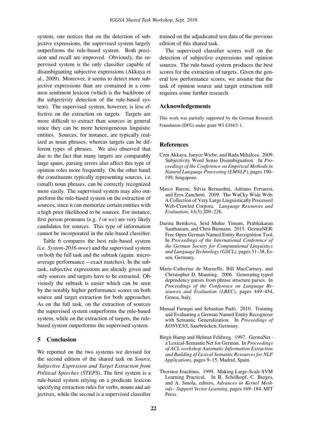system, one notices that on the detection of subjective expressions, the supervised system largely outperforms the rule-based system. Both precision and recall are improved. Obviously, the supervised system is the only classifier capable of disambiguating subjective expressions (Akkaya et al., 2009). Moreover, it seems to detect more subjective expressions than are contained in a common sentiment lexicon (which is the backbone of the subjectivity detection of the rule-based system). The supervised system, however, is less effective on the extraction on targets. Targets are more difficult to extract than sources in general since they can be more heterogeneous linguistic entities. Sources, for instance, are typically realized as noun phrases, whereas targets can be different types of phrases. We also observed that due to the fact that many targets are comparably large spans, parsing errors also affect this type of opinion roles more frequently. On the other hand, the constituents typically representing sources, i.e. (small) noun phrases, can be correctly recognized more easily. The supervised system may also outperform the rule-based system on the extraction of sources, since it can memorize certain entities with a high prior likelihood to be sources. For instance, first person pronouns (e.g. *I* or *we*) are very likely candidates for sources. This type of information cannot be incorporated in the rule-based classifier.

Table 6 compares the best rule-based system (i.e. *System-2016-mwe*) and the supervised system on both the full task and the subtask (again: microaverage performance – exact matches). In the subtask, subjective expressions are already given and only sources and targets have to be extracted. Obviously the subtask is easier which can be seen by the notably higher performance scores on both source and target extraction for both approaches. As on the full task, on the extraction of sources the supervised system outperforms the rule-based system, while on the extraction of targets, the rulebased system outperforms the supervised system.

#### 5 Conclusion

We reported on the two systems we devised for the second edition of the shared task on *Source, Subjective Expression and Target Extraction from Political Speeches (STEPS)*. The first system is a rule-based system relying on a predicate lexicon specifying extraction rules for verbs, nouns and adjectives, while the second is a supervised classifier

trained on the adjudicated test data of the previous edition of this shared task.

The supervised classifier scores well on the detection of subjective expressions and opinion sources. The rule-based system produces the best scores for the extraction of targets. Given the general low performance scores, we assume that the task of opinion source and target extraction still requires some further research.

#### Acknowledgements

This work was partially supported by the German Research Foundation (DFG) under grant WI 4204/2-1.

#### References

- Cem Akkaya, Janyce Wiebe, and Rada Mihalcea. 2009. Subjectivity Word Sense Disambiguation. In *Proceedings of the Conference on Empirical Methods in Natural Language Processing (EMNLP)*, pages 190– 199, Singapore.
- Marco Baroni, Silvia Bernardini, Adriano Ferraresi, and Eros Zanchetti. 2009. The WaCky Wide Web: A Collection of Very Large Linguistically Processed Web-Crawled Corpora. *Language Resources and Evaluation*, 43(3):209–226.
- Darina Benikova, Seid Muhie Yimam, Prabhakaran Santhanam, and Chris Biemann. 2015. GermaNER: Free Open German Named Entity Recognition Tool. In *Proceedings of the International Conference of the German Society for Computational Linguistics and Language Technology (GSCL)*, pages 31–38, Essen, Germany.
- Marie-Catherine de Marneffe, Bill MacCartney, and Christopher D. Manning. 2006. Generating typed dependency parses from phrase structure parses. In *Proceedings of the Conference on Language Resources and Evaluation (LREC)*, pages 449–454, Genoa, Italy.
- Manaal Faruqui and Sebastian Padó. 2010. Training and Evaluating a German Named Entity Recognizer with Semantic Generalization. In *Proceedings of KONVENS*, Saarbrücken, Germany.
- Birgit Hamp and Helmut Feldweg. 1997. GermaNet a Lexical-Semantic Net for German. In *Proceedings of ACL workshop Automatic Information Extraction and Building of Lexical Semantic Resources for NLP Applications*, pages 9–15, Madrid, Spain.
- Thorsten Joachims. 1999. Making Large-Scale SVM Learning Practical. In B. Schölkopf, C. Burges, and A. Smola, editors, *Advances in Kernel Methods - Support Vector Learning*, pages 169–184. MIT Press.